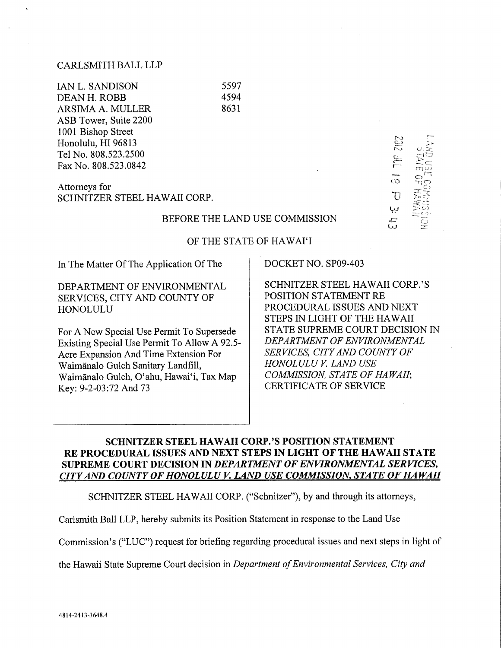#### CARLSMITH BALL LLP

| <b>IAN L. SANDISON</b> | 5597 |
|------------------------|------|
| DEAN H. ROBB           | 4594 |
| ARSIMA A. MULLER       | 8631 |
| ASB Tower, Suite 2200  |      |
| 1001 Bishop Street     |      |
| Honolulu, HI 96813     |      |
| Tel No. 808.523.2500   |      |
| Fax No. 808.523.0842   |      |
|                        |      |

# Attorneys for SCHNITZER STEEL HAWAII CORP.

# BEFORE THE LAND USE COMMISSION

# OF THE STATE OF HAWAI'I

# In The Matter Of The Application Of The DOCKET NO. SP09-403

# DEPARTMENT OF ENVIRONMENTAL SERVICES, CITY AND COUNTY OF HONOLULU

For A New Special Use Permit To Supersede Existing Special Use Permit To Allow A 92.5- Acre Expansion And Time Extension For Waimgnalo Gulch Sanitary Landfill, Waimÿnalo Gulch, O'ahu, Hawai'i, Tax Map Key: 9-2-03:72 And 73

SCHNITZER STEEL HAWAII CORP.'S POSITION STATEMENT RE PROCEDURAL ISSUES AND NEXT STEPS IN LIGHT OF THE HAWAII STATE SUPREME COURT DECISION IN DEPARTMENT OF ENVIRONMENTAL SER VICES, CITY AND COUNTY OF HONOLULU V. LAND USE COMMISSION, STATE OF HAWAII; CERTIFICATE OF SERVICE

 $\Gamma$  -  $\overline{m}\overline{m}$ 

œ רד

 $\bar{\omega}$   $\bar{z}$ 

# SCHNITZER STEEL HAWAII CORP.'S POSITION STATEMENT PROCEDURAL ISSUES AND NEXT STEPS IN LIGHT OF THE HAWAII STATE SUPREME COURT DECISION IN DEPARTMENT OF ENVIRONMENTAL SERVICES, CITY AND COUNTY OF HONOLULU V. LAND USE COMMISSION, STATE OF HAWAII

SCHNITZER STEEL HAWAII CORP. ("Schnitzer"), by and through its attorneys,

Carlsmith Ball LLP, hereby submits its Position Statement in response to the Land Use

Commission's ("LUC") request for briefing regarding procedural issues and next steps in light of

the Hawaii State Supreme Court decision in Department of Environmental Services, City and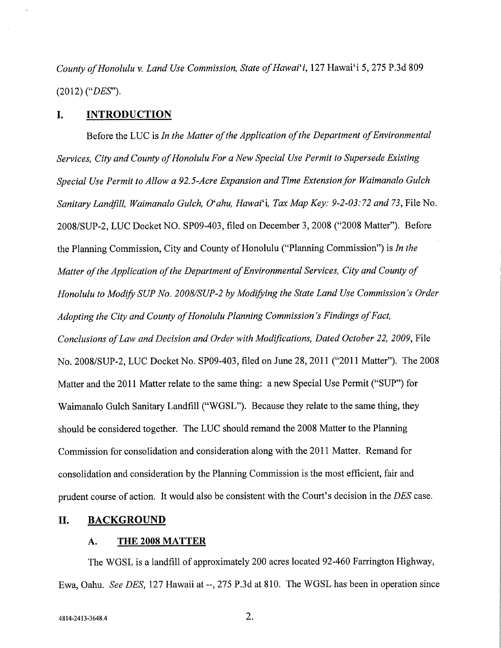County of Honolulu v. Land Use Commission, State of Hawai'i, 127 Hawai'i 5,275 P.3d 809 (2012) ("DES").

### I. INTRODUCTION

Before the LUC is In the Matter of the Application of the Department of Environmental Services, City and County of Honolulu For a New Special Use Permit to Supersede Existing Special Use Permit to Allow a 92. 5-Acre Expansion and Time Extension for Waimanalo Gulch Sanitary Landfill, Waimanalo Gulch, O'ahu, Hawai'i, Tax Map Key: 9-2-03; 72 and 73, File No. 2008/SUP-2, LUC Docket NO. SP09-403, filed on December 3, 2008 ("2008 Matter"). Before the Planning Commission, City and County of Honolulu ("Planning Commission") is In the Matter of the Application of the Department of Environmental Services, City and County of Honolulu to Modify SUP No. 2008/SUP-2 by Modifying the State Land Use Commission's Order Adopting the City and County of Honolulu Planning Commission's Findings of Fact, Conclusions of Law and Decision and Order with Modifications, Dated October 22, 2009, File No. 2008/SUP-2, LUC Docket No. SP09-403, filed on June 28, 2011 ("2011 Matter"). The 2008 Matter and the 2011 Matter relate to the same thing: a new Special Use Permit ("SUP") for Waimanalo Gulch Sanitary Landfill ("WGSL"). Because they relate to the same thing, they should be considered together. The LUC should remand the 2008 Matter to the Planning Commission for consolidation and consideration along with the 2011 Matter. Remand for consolidation and consideration by the Planning Commission is the most efficient, fair and prudent course of action. It would also be consistent with the Court's decision in the DES case.

# II. BACKGROUND

#### A. THE 2008 MATTER

The WGSL is a landfill of approximately 200 acres located 92-460 Farrington Highway, Ewa, Oahu. See DES, 127 Hawaii at --, 275 P.3d at 810. The WGSL has been in operation since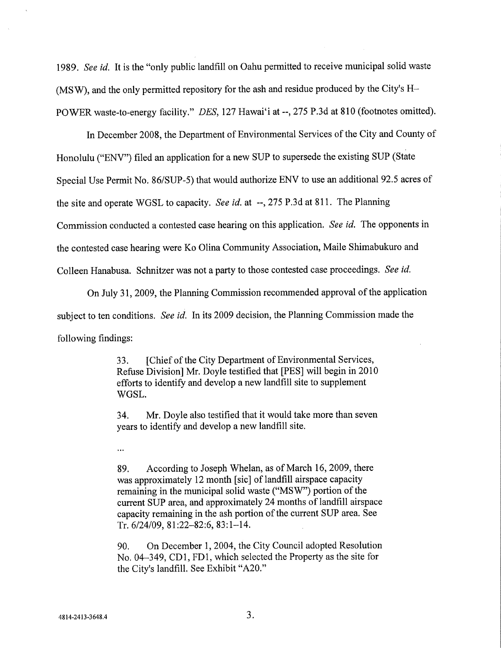1989. See id. It is the "only public landfill on Oahu permitted to receive municipal solid waste (MSW), and the only permitted repository for the ash and residue produced by the City's H-POWER waste-to-energy facility." DES, 127 Hawai'i at --, 275 P.3d at 810 (footnotes omitted).

In December 2008, the Department of Environmental Services of the City and County of Honolulu ("ENV") filed an application for a new SUP to supersede the existing SUP (State Special Use Permit No. 86/SUP-5) that would authorize ENV to use an additional 92.5 acres of the site and operate WGSL to capacity. See id. at --, 275 P.3d at 811. The Planning Commission conducted a contested case hearing on this application. See id. The opponents in the contested case hearing were Ko Olina Community Association, Maile Shimabukuro and Colleen Hanabusa. Schnitzer was not a party to those contested case proceedings. See id.

On July 31, 2009, the Planning Commission recommended approval of the application subject to ten conditions. See id. In its 2009 decision, the Planning Commission made the following findings:

> 33. [Chief of the City Department of Environmental Services, Refuse Division] Mr. Doyle testified that [PES] will begin in 2010 efforts to identify and develop a new landfill site to supplement WGSL.

> 34. Mr. Doyle also testified that it would take more than seven years to identify and develop a new landfill site.

 $\dddotsc$ 

89. According to Joseph Whelan, as of March 16, 2009, there was approximately 12 month [sic] of landfill airspace capacity remaining in the municipal solid waste ("MSW") portion of the current SUP area, and approximately 24 months of landfill airspace capacity remaining in the ash portion of the current SUP area. See Tr. 6/24/09, 81:22-82:6, 83:1-14.

90. On December 1, 2004, the City Council adopted Resolution No. 04-349, CD1, FD1, which selected the Property as the site for the City's landfill. See Exhibit "A20."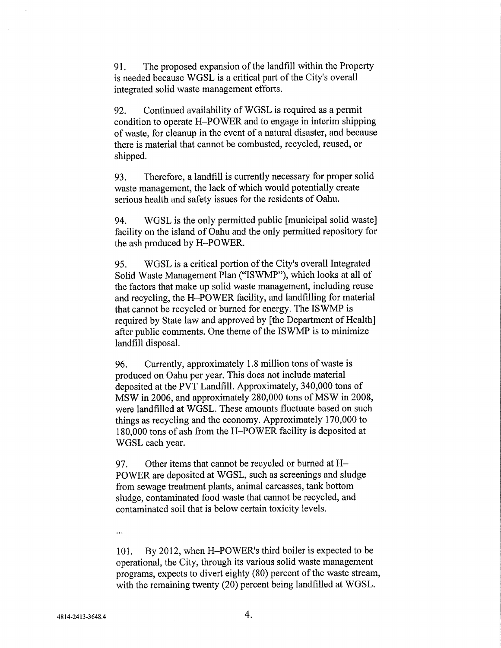91. The proposed expansion of the landfill within the Property is needed because WGSL is a critical part of the City's overall integrated solid waste management efforts.

92. Continued availability of WGSL is required as a permit condition to operate H-POWER and to engage in interim shipping of waste, for cleanup in the event of a natural disaster, and because there is material that cannot be combusted, recycled, reused, or shipped.

93. Therefore, a landfill is currently necessary for proper solid waste management, the lack of which would potentially create serious health and safety issues for the residents of Oahu.

94. WGSL is the only permitted public [municipal solid waste] facility on the island of Oahu and the only permitted repository for the ash produced by H-POWER.

95. WGSL is a critical portion of the City's overall Integrated Solid Waste Management Plan ("ISWMP"), which looks at all of the factors that make up solid waste management, including reuse and recycling, the H-POWER facility, and landfilling for material that cannot be recycled or burned for energy. The ISWMP is required by State law and approved by [the Department of Health] after public comments. One theme of the ISWMP is to minimize landfill disposal.

96. Currently, approximately 1.8 million tons of waste is produced on Oahu per year. This does not include material deposited at the PVT Landfill. Approximately, 340,000 tons of MSW in 2006, and approximately 280,000 tons of MSW in 2008, were landfilled at WGSL. These amounts fluctuate based on such things as recycling and the economy. Approximately 170,000 to 180,000 tons of ash from the H-POWER facility is deposited at WGSL each year.

97. Other items that cannot be recycled or burned at H-POWER are deposited at WGSL, such as screenings and sludge from sewage treatment plants, animal carcasses, tank bottom sludge, contaminated food waste that cannot be recycled, and contaminated soil that is below certain toxicity levels.

101. By 2012, when H-POWER's third boiler is expected to be operational, the City, through its various solid waste management programs, expects to divert eighty (80) percent of the waste stream, with the remaining twenty (20) percent being landfilled at WGSL.

 $\ddotsc$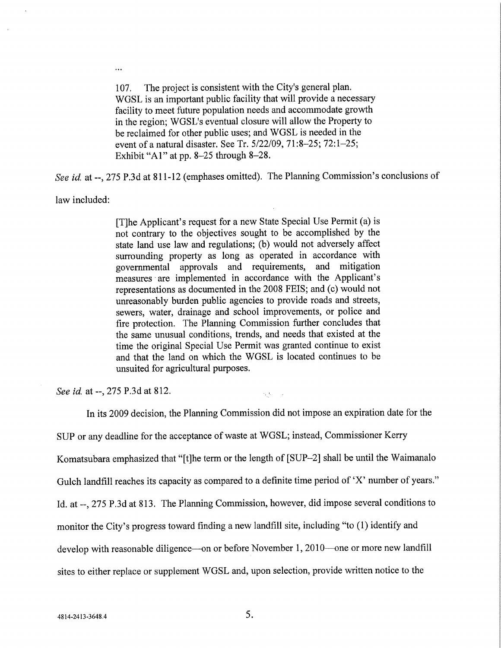107. The project is consistent with the City's general plan. WGSL is an important public facility that will provide a necessary facility to meet future population needs and accommodate growth in the region; WGSL's eventual closure will allow the Property to be reclaimed for other public uses; and WGSL is needed in the event of a natural disaster. See Tr. 5/22/09, 71:8-25; 72:1-25; Exhibit "AI" at pp. 8-25 through 8-28.

See id. at --, 275 P.3d at 811-12 (emphases omitted). The Planning Commission's conclusions of

law included:

 $\ddotsc$ 

[T]he Applicant's request for a new State Special Use Permit (a) is not contrary to the objectives sought to be accomplished by the state land use law and regulations; (b) would not adversely affect surrounding property as long as operated in accordance with governmental approvals and requirements, and mitigation measures are implemented in accordance with the Applicant's representations as documented in the 2008 FEIS; and (c) would not unreasonably burden public agencies to provide roads and streets, sewers, water, drainage and school improvements, or police and fire protection. The Planning Commission further concludes that the same unusual conditions, trends, and needs that existed at the time the original Special Use Permit was granted continue to exist and that the land on which the WGSL is located continues to be unsuited for agricultural purposes.

 $\epsilon_{\rm c}/k_{\rm s}$ 

See id. at --, 275 P.3d at 812.

In its 2009 decision, the Planning Commission did not impose an expiration date for the SUP or any deadline for the acceptance of waste at WGSL; instead, Commissioner Kerry Komatsubara emphasized that "[t]he term or the length of [SUP-2] shall be until the Waimanalo Gulch landfill reaches its capacity as compared to a definite time period of 'X' number of years." Id. at --, 275 P.3d at 813. The Planning Commission, however, did impose several conditions to monitor the City's progress toward finding a new landfill site, including "to (1) identify and develop with reasonable diligence---on or before November 1, 2010---one or more new landfill sites to either replace or supplement WGSL and, upon selection, provide written notice to the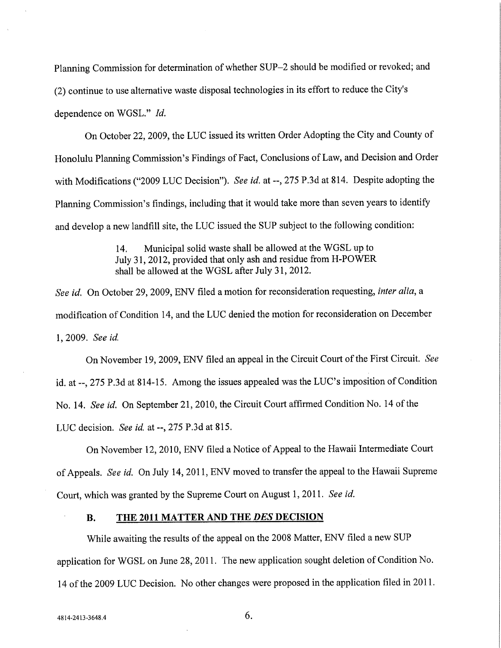Planning Commission for determination of whether SUP-2 should be modified or revoked; and (2) continue to use alternative waste disposal technologies in its effort to reduce the City's dependence on WGSL." Id.

On October 22, 2009, the LUC issued its written Order Adopting the City and County of Honolulu Planning Commission's Findings of Fact, Conclusions of Law, and Decision and Order with Modifications ("2009 LUC Decision"). See id. at --, 275 P.3d at 814. Despite adopting the Planning Commission's findings, including that it would take more than seven years to identify and develop a new landfill site, the LUC issued the SUP subject to the following condition:

> 14. Municipal solid waste shall be allowed at the WGSL up to July 31, 2012, provided that only ash and residue from H-POWER shall be allowed at the WGSL after July 31, 2012.

See id. On October 29, 2009, ENV filed a motion for reconsideration requesting, inter alia, a modification of Condition 14, and the LUC denied the motion for reconsideration on December 1, 2009. See id.

On November 19, 2009, ENV filed an appeal in the Circuit Court of the First Circuit. See id. at --, 275 P.3d at 814-15. Among the issues appealed was the LUC's imposition of Condition No. 14. See id. On September 21, 2010, the Circuit Court affirmed Condition No. 14 of the LUC decision. See id. at --, 275 P.3d at 815.

On November 12, 2010, ENV filed a Notice of Appeal to the Hawaii Intermediate Court of Appeals. See id. On July 14, 2011, ENV moved to transfer the appeal to the Hawaii Supreme Court, which was granted by the Supreme Court on August 1, 2011. See id.

#### B. THE 2011 MATTER AND THE DES DECISION

While awaiting the results of the appeal on the 2008 Matter, ENV filed a new SUP application for WGSL on June 28, 2011. The new application sought deletion of Condition No. 14 of the 2009 LUC Decision. No other changes were proposed in the application filed in 2011.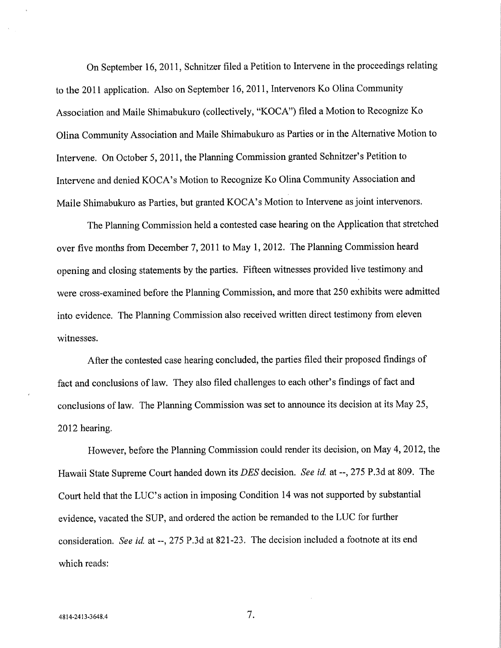On September 16, 2011, Schnitzer filed a Petition to Intervene in the proceedings relating to the 2011 application. Also on September 16, 2011, Intervenors Ko Olina Community Association and Maile Shimabukuro (collectively, "KOCA") filed a Motion to Recognize Ko Olina Community Association and Maile Shimabukuro as Parties or in the Alternative Motion to Intervene. On October 5,2011, the Planning Commission granted Schnitzer's Petition to Intervene and denied KOCA's Motion to Recognize Ko Olina Community Association and Maile Shimabukuro as Parties, but granted KOCA's Motion to Intervene as joint intervenors.

The Planning Commission held a contested case hearing on the Application that stretched over five months from December 7, 2011 to May 1, 2012. The Planning Commission heard opening and closing statements by the parties. Fifteen witnesses provided live testimony and were cross-examined before the Planning Commission, and more that 250 exhibits were admitted into evidence. The Planning Commission also received written direct testimony from eleven witnesses.

After the contested case hearing concluded, the parties filed their proposed findings of fact and conclusions of law. They also filed challenges to each other's findings of fact and conclusions of law. The Planning Commission was set to announce its decision at its May 25, 2012 hearing.

However, before the Planning Commission could render its decision, on May 4, 2012, the Hawaii State Supreme Court handed down its DES decision. See id. at --, 275 P.3d at 809. The Court held that the LUC's action in imposing Condition 14 was not supported by substantial evidence, vacated the SUP, and ordered the action be remanded to the LUC for further consideration. See id. at --, 275 P.3d at 821-23. The decision included a footnote at its end which reads: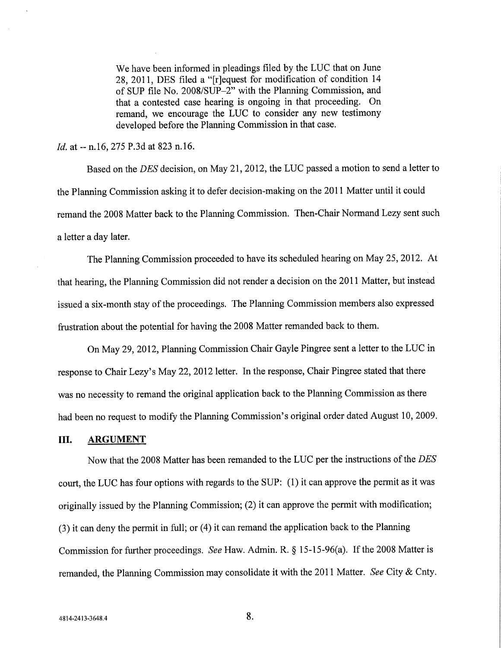We have been informed in pleadings filed by the LUC that on June 28, 2011, DES filed a "[r]equest for modification of condition 14 of SUP file No. 2008/SUP-2" with the Planning Commission, and that a contested case hearing is ongoing in that proceeding. On remand, we encourage the LUC to consider any new testimony developed before the Planning Commission in that case.

Id. at -- n.16, 275 P.3d at 823 n.16.

Based on the DES decision, on May 21, 2012, the LUC passed a motion to send a letter to the Planning Commission asking it to defer decision-making on the 2011 Matter until it could remand the 2008 Matter back to the Planning Commission. Then-Chair Normand Lezy sent such a letter a day later.

The Planning Commission proceeded to have its scheduled hearing on May 25, 2012. At that hearing, the Planning Commission did not render a decision on the 2011 Matter, but instead issued a six-month stay of the proceedings. The Planning Commission members also expressed frustration about the potential for having the 2008 Matter remanded back to them.

On May 29, 2012, Planning Commission Chair Gayle Pingree sent a letter to the LUC in response to Chair Lezy's May 22, 2012 letter. In the response, Chair Pingree stated that there was no necessity to remand the original application back to the Planning Commission as there had been no request to modify the Planning Commission's original order dated August 10, 2009.

#### III. ARGUMENT

Now that the 2008 Matter has been remanded to the LUC per the instructions of the DES court, the LUC has four options with regards to the SUP: (1) it can approve the permit as it was originally issued by the Planning Commission; (2) it can approve the permit with modification; (3) it can deny the permit in full; or (4) it can remand the application back to the Planning Commission for further proceedings. See Haw. Admin. R. § 15-15-96(a). If the 2008 Matter is remanded, the Planning Commission may consolidate it with the 2011 Matter. See City & Cnty.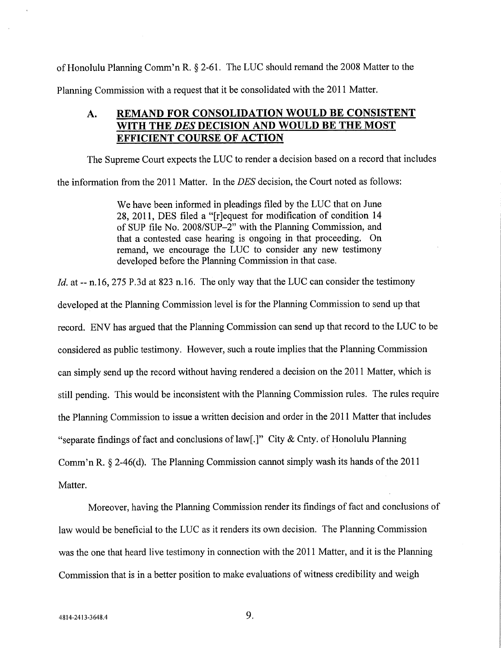of Honolulu Planning Comm'n R. § 2-61. The LUC should remand the 2008 Matter to the Planning Commission with a request that it be consolidated with the 2011 Matter.

# A. REMAND FOR CONSOLIDATION WOULD BE CONSISTENT WITH THE DES DECISION AND WOULD BE THE MOST EFFICIENT COURSE OF ACTION

The Supreme Court expects the LUC to render a decision based on a record that includes the information from the 2011 Matter. In the DES decision, the Court noted as follows:

> We have been informed in pleadings filed by the LUC that on June 28, 2011, DES filed a "[r]equest for modification of condition 14 of SUP file No. 2008/SUP-2" with the Planning Commission, and that a contested case hearing is ongoing in that proceeding. On remand, we encourage the LUC to consider any new testimony developed before the Planning Commission in that case.

Id. at -- n.16, 275 P.3d at 823 n.16. The only way that the LUC can consider the testimony developed at the Planning Commission level is for the Planning Commission to send up that record. ENV has argued that the Planning Commission can send up that record to the LUC to be considered as public testimony. However, such a route implies that the Planning Commission can simply send up the record without having rendered a decision on the 2011 Matter, which is still pending. This would be inconsistent with the Planning Commission rules. The rules require the Planning Commission to issue a written decision and order in the 2011 Matter that includes "separate findings of fact and conclusions of law[.]" City & Cnty. of Honolulu Planning Comm'n R. § 2-46(d). The Planning Commission cannot simply wash its hands of the 2011 Matter.

Moreover, having the Planning Commission render its findings of fact and conclusions of law would be beneficial to the LUC as it renders its own decision. The Planning Commission was the one that heard live testimony in connection with the 2011 Matter, and it is the Planning Commission that is in a better position to make evaluations of witness credibility and weigh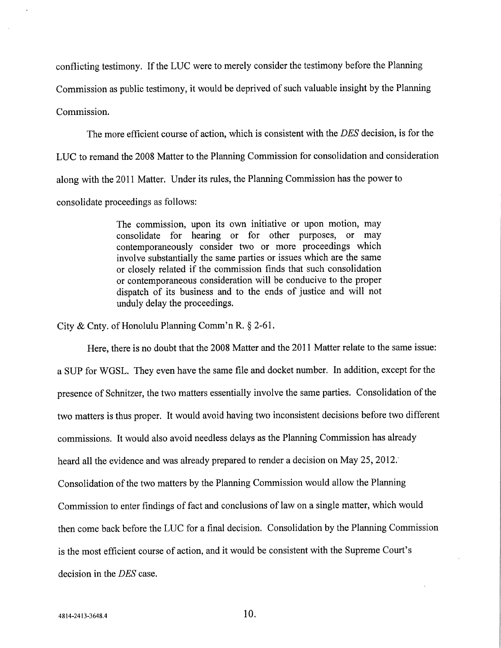conflicting testimony. If the LUC were to merely consider the testimony before the Planning

Commission as public testimony, it would be deprived of such valuable insight by the Planning

Commission.

The more efficient course of action, which is consistent with the DES decision, is for the LUC to remand the 2008 Matter to the Planning Commission for consolidation and consideration along with the 2011 Matter. Under its rules, the Planning Commission has the power to consolidate proceedings as follows:

> The commission, upon its own initiative or upon motion, may consolidate for hearing or for other purposes, or may contemporaneously consider two or more proceedings which involve substantially the same parties or issues which are the same or closely related if the commission finds that such consolidation or contemporaneous consideration will be conducive to the proper dispatch of its business and to the ends of justice and will not unduly delay the proceedings.

City & Cnty. of Honolulu Planning Comm'n R. § 2-61.

Here, there is no doubt that the 2008 Matter and the 2011 Matter relate to the same issue: a SUP for WGSL. They even have the same file and docket number. In addition, except for the presence of Schnitzer, the two matters essentially involve the same parties. Consolidation of the two matters is thus proper. It would avoid having two inconsistent decisions before two different commissions. It would also avoid needless delays as the Planning Commission has already heard all the evidence and was already prepared to render a decision on May 25, 2012. Consolidation of the two matters by the Planning Commission would allow the Planning Commission to enter findings of fact and conclusions of law on a single matter, which would then come back before the LUC for a final decision. Consolidation by the Planning Commission is the most efficient course of action, and it would be consistent with the Supreme Court's decision in the DES case.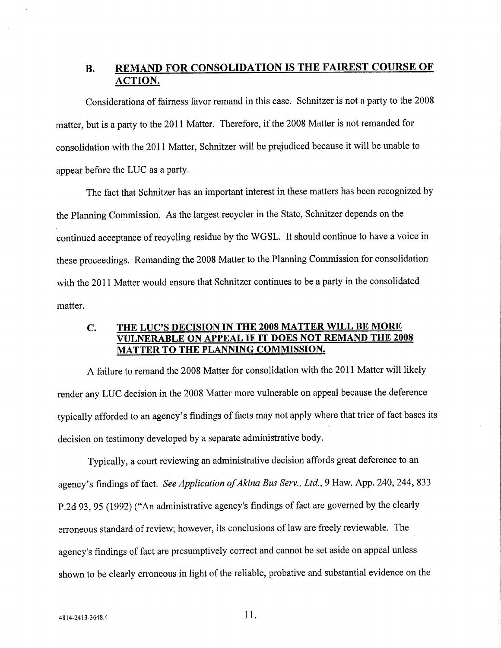# B. REMAND FOR CONSOLIDATION IS THE FAIREST COURSE OF ACTION.

Considerations of fairness favor remand in this case. Schnitzer is not a party to the 2008 matter, but is a party to the 2011 Matter. Therefore, if the 2008 Matter is not remanded for consolidation with the 2011 Matter, Schnitzer will be prejudiced because it will be unable to appear before the LUC as a party.

The fact that Schnitzer has an important interest in these matters has been recognized by the Planning Commission. As the largest recycler in the State, Schnitzer depends on the continued acceptance of recycling residue by the WGSL. It should continue to have a voice in these proceedings. Remanding the 2008 Matter to the Planning Commission for consolidation with the 2011 Matter would ensure that Schnitzer continues to be a party in the consolidated matter.

# C. THE LUC'S DECISION IN THE 2008 MATTER WILL BE MORE VULNERABLE ON APPEAL IF IT DOES NOT REMAND THE 2008 MATTER TO THE PLANNING COMMISSION.

A failure to remand the 2008 Matter for consolidation with the 2011 Matter will likely render any LUC decision in the 2008 Matter more vulnerable on appeal because the deference typically afforded to an agency's findings of facts may not apply where that trier of fact bases its decision on testimony developed by a separate administrative body.

Typically, a court reviewing an administrative decision affords great deference to an agency's findings of fact. See Application of Akina Bus Serv., Ltd., 9 Haw. App. 240, 244, 833 P.2d 93, 95 (1992) ("An administrative agency's findings of fact are governed by the clearly erroneous standard of review; however, its conclusions of law are freely reviewable. The agency's findings of fact are presumptively correct and cannot be set aside on appeal unless shown to be clearly erroneous in light of the reliable, probative and substantial evidence on the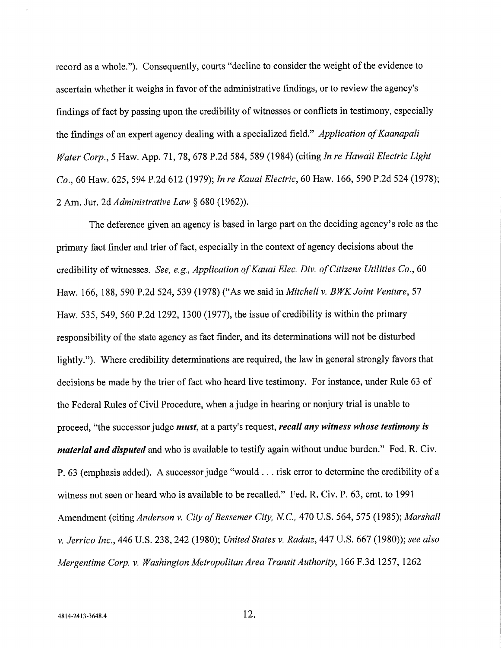record as a whole."). Consequently, courts "decline to consider the weight of the evidence to ascertain whether it weighs in favor of the administrative findings, or to review the agency's findings of fact by passing upon the credibility of witnesses or conflicts in testimony, especially the findings of an expert agency dealing with a specialized field." Application of Kaanapali Water Corp., 5 Haw. App. 71, 78, 678 P.2d 584, 589 (1984) (citing In re Hawaii Electric Light Co., 60 Haw. 625,594 P.2d 612 (1979); In re Kauai Electric, 60 Haw. 166, 590 P.2d 524 (1978); 2 Am. Jur. 2d Administrative Law § 680 (1962)).

The deference given an agency is based in large part on the deciding agency's role as the primary fact finder and trier of fact, especially in the context of agency decisions about the credibility of witnesses. See, e.g., Application of Kauai Elec. Div. of Citizens Utilities Co., 60 Haw. 166, 188, 590 P.2d 524, 539 (1978) ("As we said in *Mitchell v. BWK Joint Venture*, 57 Haw. 535, 549, 560 P.2d 1292, 1300 (1977), the issue of credibility is within the primary responsibility of the state agency as fact finder, and its determinations will not be disturbed lightly."). Where credibility determinations are required, the law in general strongly favors that decisions be made by the trier of fact who heard live testimony. For instance, under Rule 63 of the Federal Rules of Civil Procedure, when a judge in hearing or nonjury trial is unable to proceed, "the successor judge *must*, at a party's request, *recall any witness whose testimony is* material and disputed and who is available to testify again without undue burden." Fed. R. Civ. P. 63 (emphasis added). A successor judge "would... risk error to determine the credibility of a witness not seen or heard who is available to be recalled." Fed. R. Civ. P. 63, cmt. to 1991 Amendment (citing Anderson v. City of Bessemer City, N.C., 470 U.S. 564, 575 (1985); Marshall v. Jerrico Inc., 446 U.S. 238, 242 (1980); United States v. Radatz, 447 U.S. 667 (1980)); see also Mergentime Corp. v. Washington Metropolitan Area Transit Authority, 166 F.3d 1257, 1262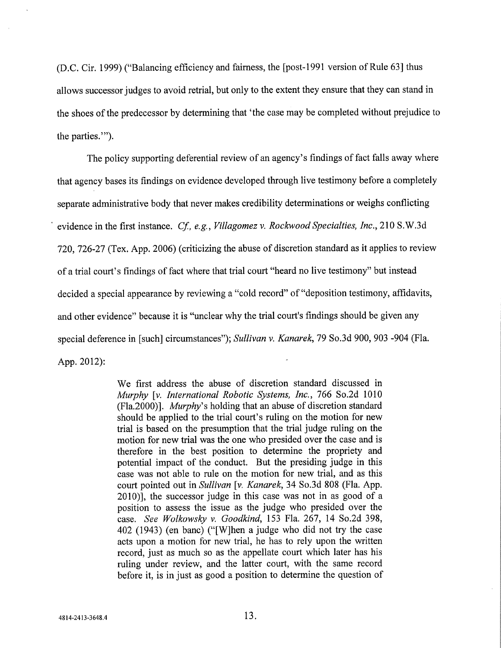(D.C. Cir. 1999) ("Balancing efficiency and fairness, the [post- 1991 version of Rule 63] thus allows successor judges to avoid retrial, but only to the extent they ensure that they can stand in the shoes of the predecessor by determining that 'the case may be completed without prejudice to the parties.'").

The policy supporting deferential review of an agency's findings of fact falls away where that agency bases its findings on evidence developed through live testimony before a completely separate administrative body that never makes credibility determinations or weighs conflicting evidence in the first instance. Cf., e.g., Villagomez v. Rockwood Specialties, Inc., 210 S.W.3d 720, 726-27 (Tex. App. 2006) (criticizing the abuse of discretion standard as it applies to review of a trial court's findings of fact where that trial court "heard no live testimony" but instead decided a special appearance by reviewing a "cold record" of "deposition testimony, affidavits, and other evidence" because it is "unclear why the trial court's findings should be given any special deference in [such] circumstances"); Sullivan v. Kanarek, 79 So.3d 900, 903 -904 (Fla. App. 2012):

> We first address the abuse of discretion standard discussed in Murphy [v. International Robotic Systems, Inc., 766 So.2d 1010 (Fla.2000)]. Murphy's holding that an abuse of discretion standard should be applied to the trial court's ruling on the motion for new trial is based on the presumption that the trial judge ruling on the motion for new trial was the one who presided over the case and is therefore in the best position to determine the propriety and potential impact of the conduct. But the presiding judge in this case was not able to rule on the motion for new trial, and as this court pointed out in Sullivan [v. Kanarek, 34 So.3d 808 (Fla. App. 2010)], the successor judge in this case was not in as good of a position to assess the issue as the judge who presided over the case. See Wolkowsky v. Goodkind, 153 Fla. 267, 14 So.2d 398, 402 (1943) (en bane) ("[W]hen a judge who did not try the case acts upon a motion for new trial, he has to rely upon the written record, just as much so as the appellate court which later has his ruling under review, and the latter court, with the same record before it, is in just as good a position to determine the question of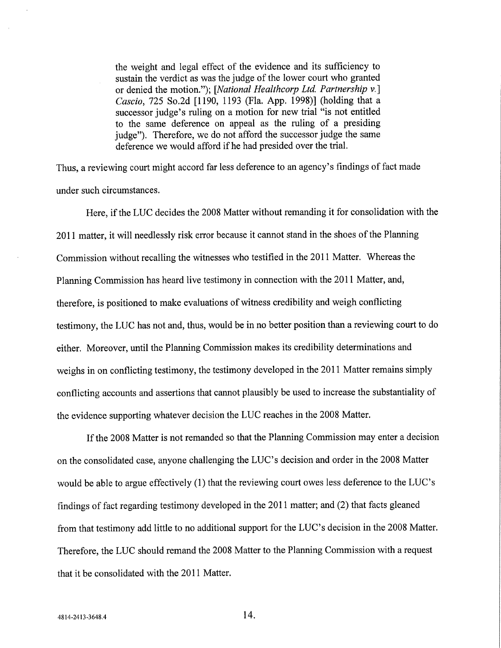the weight and legal effect of the evidence and its sufficiency to sustain the verdict as was the judge of the lower court who granted or denied the motion."); [National Healthcorp Ltd. Partnership v.] Cascio, 725 So.2d [1190, 1193 (Fla. App. 1998)] (holding that a successor judge's ruling on a motion for new trial "is not entitled to the same deference on appeal as the ruling of a presiding judge"). Therefore, we do not afford the successor judge the same deference we would afford if he had presided over the trial.

Thus, a reviewing court might accord far less deference to an agency's findings of fact made under such circumstances.

Here, if the LUC decides the 2008 Matter without remanding it for consolidation with the 2011 matter, it will needlessly risk error because it cannot stand in the shoes of the Planning Commission without recalling the witnesses who testified in the 2011 Matter. Whereas the Planning Commission has heard live testimony in connection with the 2011 Matter, and, therefore, is positioned to make evaluations of witness credibility and weigh conflicting testimony, the LUC has not and, thus, would be in no better position than a reviewing court to do either. Moreover, until the Planning Commission makes its credibility determinations and weighs in on conflicting testimony, the testimony developed in the 2011 Matter remains simply conflicting accounts and assertions that cannot plausibly be used to increase the substantiality of the evidence supporting whatever decision the LUC reaches in the 2008 Matter.

If the 2008 Matter is not remanded so that the Planning Commission may enter a decision on the consolidated case, anyone challenging the LUC's decision and order in the 2008 Matter would be able to argue effectively (1) that the reviewing court owes less deference to the LUC's findings of fact regarding testimony developed in the 2011 matter; and (2) that facts gleaned from that testimony add little to no additional support for the LUC's decision in the 2008 Matter. Therefore, the LUC should remand the 2008 Matter to the Planning Commission with a request that it be consolidated with the 2011 Matter.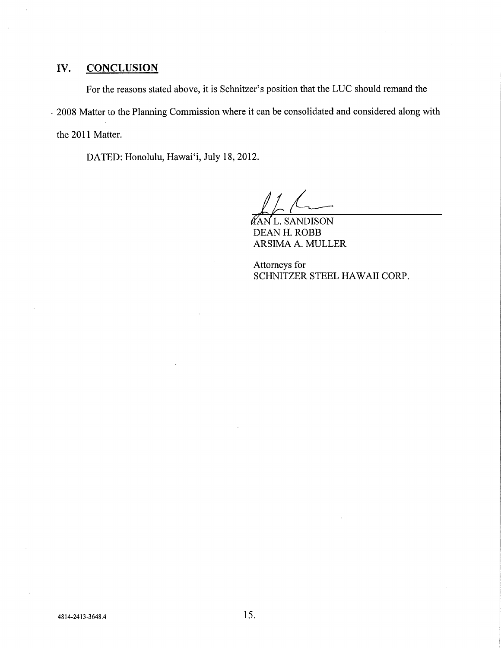# IV. CONCLUSION

For the reasons stated above, it is Schnitzer's position that the LUC should remand the • 2008 Matter to the Planning Commission where it can be consolidated and considered along with the 2011 Matter.

DATED: Honolulu, Hawai'i, July 18, 2012.

 $\ell$ an $\Lambda$  L. Sandison DEAN H. ROBB ARSIMA A. MULLER

Attorneys for SCHNITZER STEEL HAWAII CORP.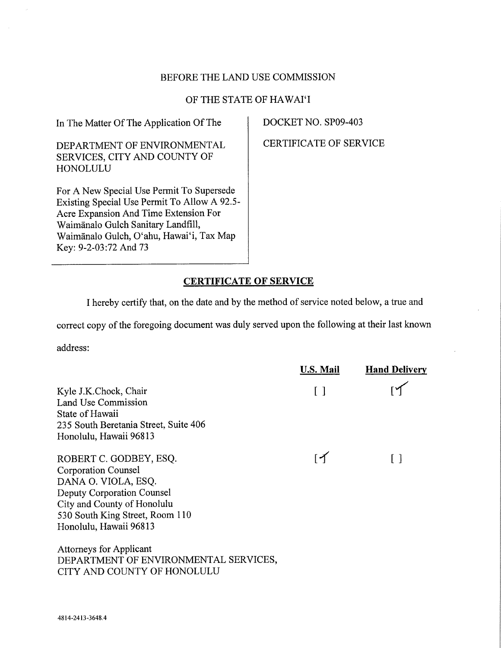# BEFORE THE LAND USE COMMISSION

# OF THE STATE OF HAWAI'I

In The Matter Of The Application Of The

DEPARTMENT OF ENVIRONMENTAL SERVICES, CITY AND COUNTY OF HONOLULU

For A New Special Use Permit To Supersede Existing Special Use Permit To Allow A 92.5- Acre Expansion And Time Extension For Waimānalo Gulch Sanitary Landfill, Waimgnalo Gulch, O'ahu, Hawai'i, Tax Map Key: 9-2-03:72 And 73

DOCKET NO. SP09-403

CERTIFICATE OF SERVICE

# CERTIFICATE OF SERVICE

I hereby certify that, on the date and by the method of service noted below, a true and

correct copy of the foregoing document was duly served upon the following at their last known

address:

|                                                                                                        | U.S. Mail  | <b>Hand Delivery</b> |
|--------------------------------------------------------------------------------------------------------|------------|----------------------|
| Kyle J.K.Chock, Chair<br>Land Use Commission                                                           | $\lceil$ 1 |                      |
| State of Hawaii                                                                                        |            |                      |
| 235 South Beretania Street, Suite 406                                                                  |            |                      |
| Honolulu, Hawaii 96813                                                                                 |            |                      |
| ROBERT C. GODBEY, ESQ.                                                                                 | ſイ         |                      |
| <b>Corporation Counsel</b>                                                                             |            |                      |
| DANA O. VIOLA, ESQ.                                                                                    |            |                      |
| Deputy Corporation Counsel                                                                             |            |                      |
| City and County of Honolulu                                                                            |            |                      |
| 530 South King Street, Room 110                                                                        |            |                      |
| Honolulu, Hawaii 96813                                                                                 |            |                      |
| <b>Attorneys for Applicant</b><br>DEPARTMENT OF ENVIRONMENTAL SERVICES,<br>CITY AND COUNTY OF HONOLULU |            |                      |